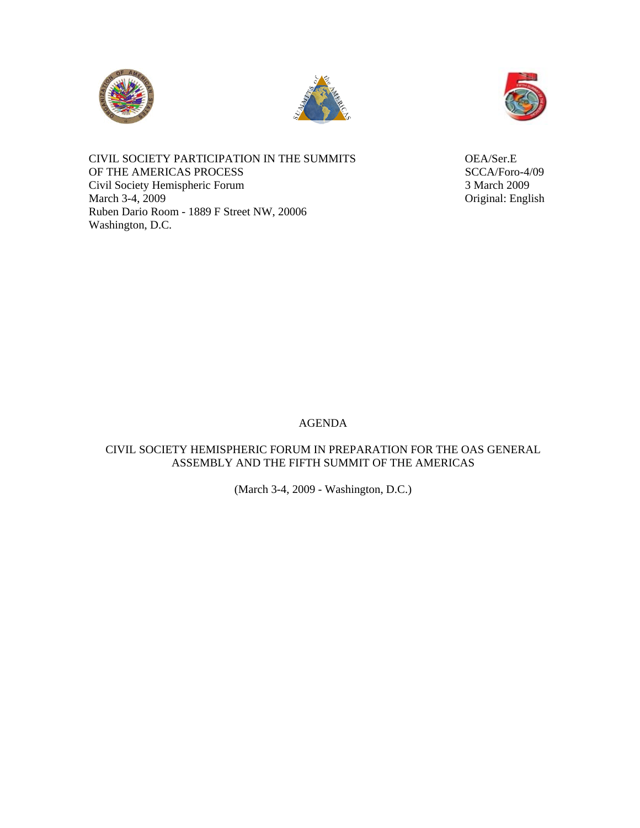





CIVIL SOCIETY PARTICIPATION IN THE SUMMITS OEA/Ser.E OF THE AMERICAS PROCESS SCCA/Foro-4/09 Civil Society Hemispheric Forum 3 March 2009 March 3-4, 2009 Original: English Ruben Dario Room - 1889 F Street NW, 20006 Washington, D.C.

### AGENDA

## CIVIL SOCIETY HEMISPHERIC FORUM IN PREPARATION FOR THE OAS GENERAL ASSEMBLY AND THE FIFTH SUMMIT OF THE AMERICAS

(March 3-4, 2009 - Washington, D.C.)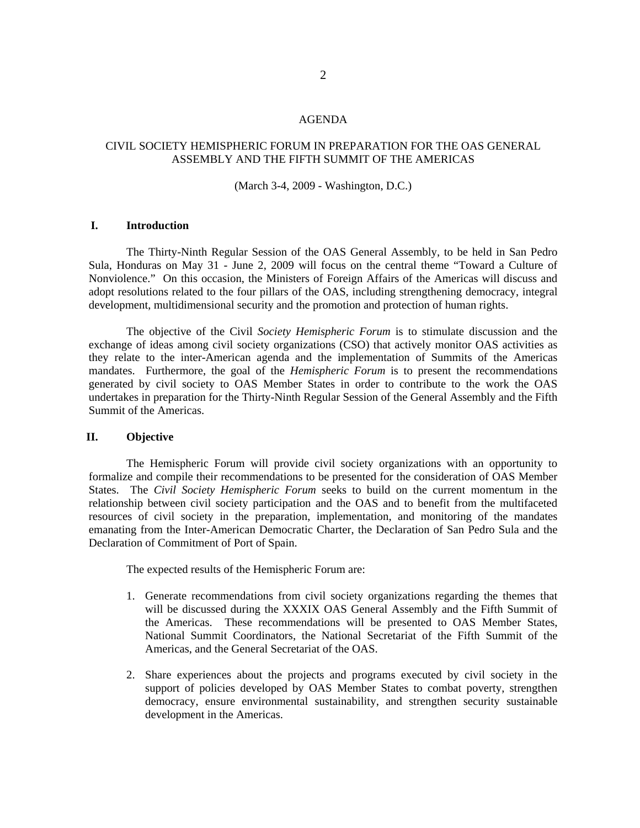#### AGENDA

### CIVIL SOCIETY HEMISPHERIC FORUM IN PREPARATION FOR THE OAS GENERAL ASSEMBLY AND THE FIFTH SUMMIT OF THE AMERICAS

#### (March 3-4, 2009 - Washington, D.C.)

#### **I. Introduction**

 The Thirty-Ninth Regular Session of the OAS General Assembly, to be held in San Pedro Sula, Honduras on May 31 - June 2, 2009 will focus on the central theme "Toward a Culture of Nonviolence." On this occasion, the Ministers of Foreign Affairs of the Americas will discuss and adopt resolutions related to the four pillars of the OAS, including strengthening democracy, integral development, multidimensional security and the promotion and protection of human rights.

The objective of the Civil *Society Hemispheric Forum* is to stimulate discussion and the exchange of ideas among civil society organizations (CSO) that actively monitor OAS activities as they relate to the inter-American agenda and the implementation of Summits of the Americas mandates. Furthermore, the goal of the *Hemispheric Forum* is to present the recommendations generated by civil society to OAS Member States in order to contribute to the work the OAS undertakes in preparation for the Thirty-Ninth Regular Session of the General Assembly and the Fifth Summit of the Americas.

#### **II. Objective**

The Hemispheric Forum will provide civil society organizations with an opportunity to formalize and compile their recommendations to be presented for the consideration of OAS Member States. The *Civil Society Hemispheric Forum* seeks to build on the current momentum in the relationship between civil society participation and the OAS and to benefit from the multifaceted resources of civil society in the preparation, implementation, and monitoring of the mandates emanating from the Inter-American Democratic Charter, the Declaration of San Pedro Sula and the Declaration of Commitment of Port of Spain.

The expected results of the Hemispheric Forum are:

- 1. Generate recommendations from civil society organizations regarding the themes that will be discussed during the XXXIX OAS General Assembly and the Fifth Summit of the Americas. These recommendations will be presented to OAS Member States, National Summit Coordinators, the National Secretariat of the Fifth Summit of the Americas, and the General Secretariat of the OAS.
- 2. Share experiences about the projects and programs executed by civil society in the support of policies developed by OAS Member States to combat poverty, strengthen democracy, ensure environmental sustainability, and strengthen security sustainable development in the Americas.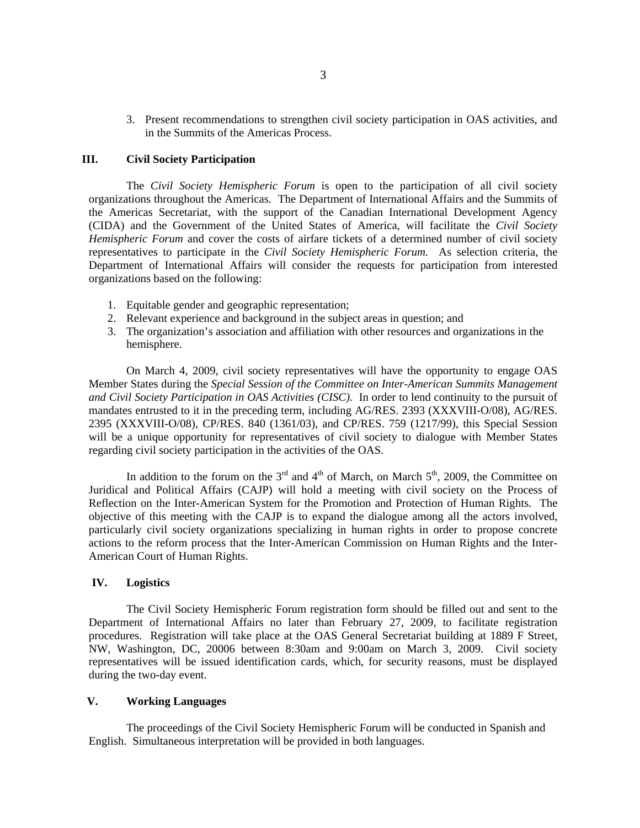3. Present recommendations to strengthen civil society participation in OAS activities, and in the Summits of the Americas Process.

#### **III. Civil Society Participation**

The *Civil Society Hemispheric Forum* is open to the participation of all civil society organizations throughout the Americas. The Department of International Affairs and the Summits of the Americas Secretariat, with the support of the Canadian International Development Agency (CIDA) and the Government of the United States of America, will facilitate the *Civil Society Hemispheric Forum* and cover the costs of airfare tickets of a determined number of civil society representatives to participate in the *Civil Society Hemispheric Forum.* As selection criteria, the Department of International Affairs will consider the requests for participation from interested organizations based on the following:

- 1. Equitable gender and geographic representation;
- 2. Relevant experience and background in the subject areas in question; and
- 3. The organization's association and affiliation with other resources and organizations in the hemisphere.

 On March 4, 2009, civil society representatives will have the opportunity to engage OAS Member States during the *Special Session of the Committee on Inter-American Summits Management and Civil Society Participation in OAS Activities (CISC).* In order to lend continuity to the pursuit of mandates entrusted to it in the preceding term, including AG/RES. 2393 (XXXVIII-O/08), AG/RES. 2395 (XXXVIII-O/08), CP/RES. 840 (1361/03), and CP/RES. 759 (1217/99), this Special Session will be a unique opportunity for representatives of civil society to dialogue with Member States regarding civil society participation in the activities of the OAS.

In addition to the forum on the  $3<sup>rd</sup>$  and  $4<sup>th</sup>$  of March, on March  $5<sup>th</sup>$ , 2009, the Committee on Juridical and Political Affairs (CAJP) will hold a meeting with civil society on the Process of Reflection on the Inter-American System for the Promotion and Protection of Human Rights. The objective of this meeting with the CAJP is to expand the dialogue among all the actors involved, particularly civil society organizations specializing in human rights in order to propose concrete actions to the reform process that the Inter-American Commission on Human Rights and the Inter-American Court of Human Rights.

#### **IV. Logistics**

 The Civil Society Hemispheric Forum registration form should be filled out and sent to the Department of International Affairs no later than February 27, 2009, to facilitate registration procedures. Registration will take place at the OAS General Secretariat building at 1889 F Street, NW, Washington, DC, 20006 between 8:30am and 9:00am on March 3, 2009. Civil society representatives will be issued identification cards, which, for security reasons, must be displayed during the two-day event.

### **V. Working Languages**

 The proceedings of the Civil Society Hemispheric Forum will be conducted in Spanish and English. Simultaneous interpretation will be provided in both languages.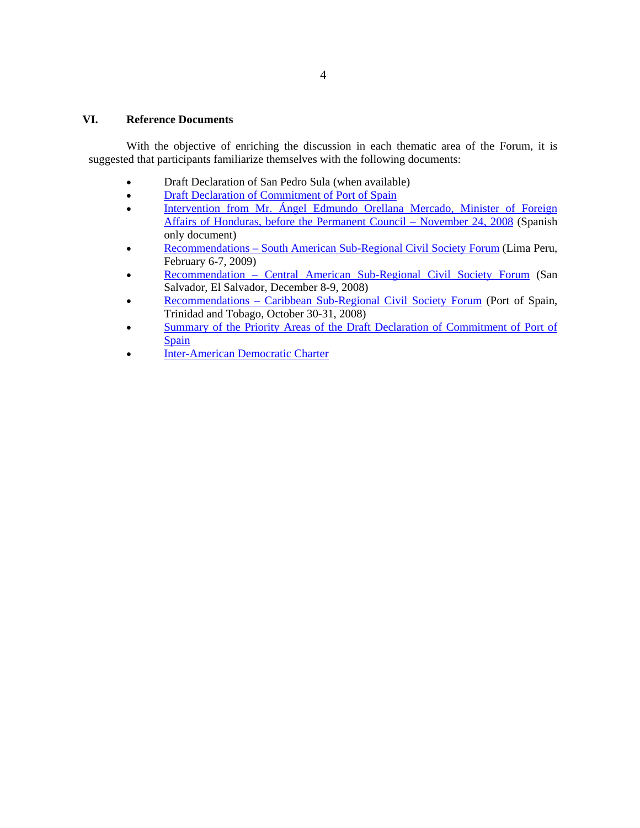#### **VI. Reference Documents**

With the objective of enriching the discussion in each thematic area of the Forum, it is suggested that participants familiarize themselves with the following documents:

- Draft Declaration of San Pedro Sula (when available)
- Draft Declaration of Commitment of Port of Spain
- Intervention from Mr. Ángel Edmundo Orellana Mercado, Minister of Foreign [Affairs of Honduras, before the Permanent Council – November 24, 2008](http://scm.oas.org/doc_public/SPANISH/HIST_08/CP21340T04.doc) (Spanish only document)
- [Recommendations South American Sub-Regional Civil Society Forum](http://www.civil-society.oas.org/documents/59_Recommendations%20-%20South%20American%20Forum%20-%20Civil%20Society%20EN%20-%20III%20SIRG.doc) (Lima Peru, February 6-7, 2009)
- [Recommendation Central American Sub-Regional Civil Society Forum](http://www.civil-society.oas.org/documents/31_Final%20-%20Recomendaciones%20-%20Foro%20Subregional%20Centroamericano%20-%20English.doc) (San Salvador, El Salvador, December 8-9, 2008)
- [Recommendations Caribbean Sub-Regional Civil Society Forum](http://www.civil-society.oas.org/documents/17_Final%20-%20Carib%20CS%20Forum%20-%20Preliminary%20report%20of%20recommendations%20-%20English.doc) (Port of Spain, Trinidad and Tobago, October 30-31, 2008)
- [Summary of the Priority Areas of the Draft Declaration of Commitment of Port of](http://www.civil-society.oas.org/English/draft_decl_pos_summ_en.doc)  [Spain](http://www.civil-society.oas.org/English/draft_decl_pos_summ_en.doc)
- [Inter-American Democratic Charter](http://www.oas.org/OASpage/esp/Documentos/Carta_Democratica.htm)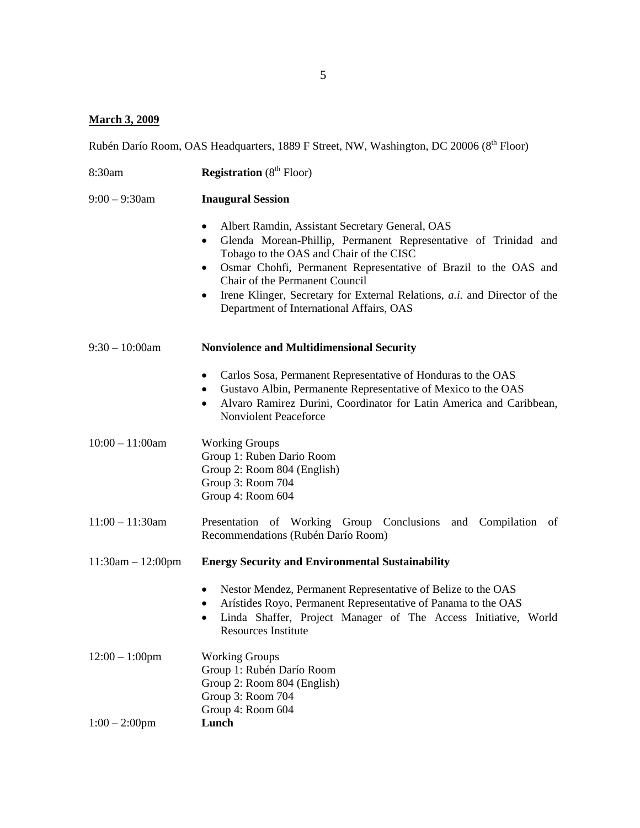## **March 3, 2009**

Rubén Darío Room, OAS Headquarters, 1889 F Street, NW, Washington, DC 20006 (8<sup>th</sup> Floor)

| 8:30am              | <b>Registration</b> ( $8th$ Floor)                                                                                                                                                                                                                                                                                                                                                                                                             |
|---------------------|------------------------------------------------------------------------------------------------------------------------------------------------------------------------------------------------------------------------------------------------------------------------------------------------------------------------------------------------------------------------------------------------------------------------------------------------|
| $9:00 - 9:30$ am    | <b>Inaugural Session</b>                                                                                                                                                                                                                                                                                                                                                                                                                       |
|                     | Albert Ramdin, Assistant Secretary General, OAS<br>$\bullet$<br>Glenda Morean-Phillip, Permanent Representative of Trinidad and<br>$\bullet$<br>Tobago to the OAS and Chair of the CISC<br>Osmar Chohfi, Permanent Representative of Brazil to the OAS and<br>٠<br>Chair of the Permanent Council<br>Irene Klinger, Secretary for External Relations, <i>a.i.</i> and Director of the<br>$\bullet$<br>Department of International Affairs, OAS |
| $9:30 - 10:00$ am   | <b>Nonviolence and Multidimensional Security</b>                                                                                                                                                                                                                                                                                                                                                                                               |
|                     | Carlos Sosa, Permanent Representative of Honduras to the OAS<br>٠<br>Gustavo Albin, Permanente Representative of Mexico to the OAS<br>٠<br>Alvaro Ramirez Durini, Coordinator for Latin America and Caribbean,<br>$\bullet$<br><b>Nonviolent Peaceforce</b>                                                                                                                                                                                    |
| $10:00 - 11:00$ am  | <b>Working Groups</b><br>Group 1: Ruben Dario Room<br>Group 2: Room 804 (English)<br>Group 3: Room 704<br>Group 4: Room 604                                                                                                                                                                                                                                                                                                                    |
| $11:00 - 11:30$ am  | Presentation of Working Group Conclusions and Compilation<br>of<br>Recommendations (Rubén Darío Room)                                                                                                                                                                                                                                                                                                                                          |
| $11:30am - 12:00pm$ | <b>Energy Security and Environmental Sustainability</b>                                                                                                                                                                                                                                                                                                                                                                                        |
|                     | Nestor Mendez, Permanent Representative of Belize to the OAS<br>٠<br>Arístides Royo, Permanent Representative of Panama to the OAS<br>٠<br>Linda Shaffer, Project Manager of The Access Initiative, World<br>Resources Institute                                                                                                                                                                                                               |
| $12:00 - 1:00$ pm   | <b>Working Groups</b><br>Group 1: Rubén Darío Room<br>Group 2: Room 804 (English)<br>Group 3: Room 704<br>Group 4: Room 604                                                                                                                                                                                                                                                                                                                    |
| $1:00 - 2:00$ pm    | Lunch                                                                                                                                                                                                                                                                                                                                                                                                                                          |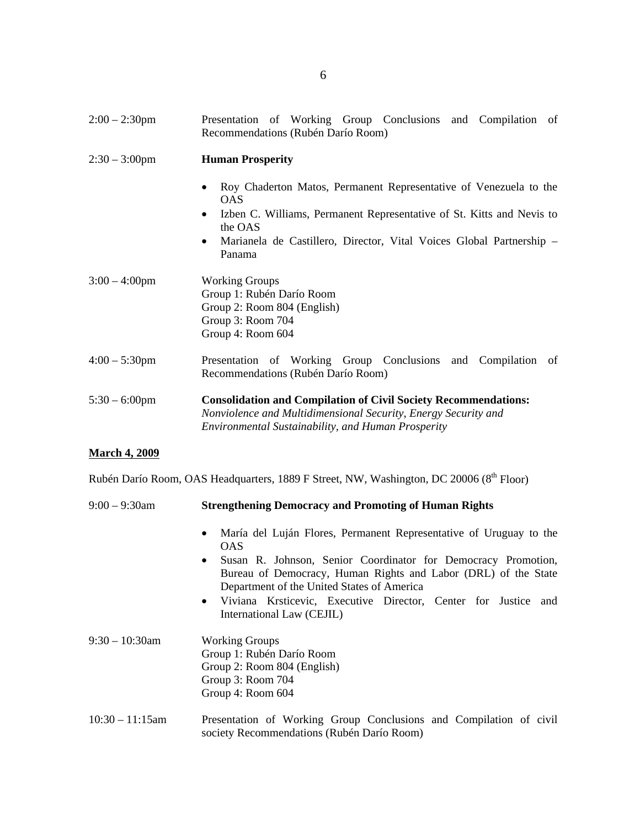| $2:00 - 2:30$ pm | Presentation of Working Group Conclusions and Compilation of<br>Recommendations (Rubén Darío Room)                                                                                                                                                                                           |
|------------------|----------------------------------------------------------------------------------------------------------------------------------------------------------------------------------------------------------------------------------------------------------------------------------------------|
| $2:30 - 3:00$ pm | <b>Human Prosperity</b>                                                                                                                                                                                                                                                                      |
|                  | Roy Chaderton Matos, Permanent Representative of Venezuela to the<br>$\bullet$<br><b>OAS</b><br>Izben C. Williams, Permanent Representative of St. Kitts and Nevis to<br>$\bullet$<br>the OAS<br>Marianela de Castillero, Director, Vital Voices Global Partnership -<br>$\bullet$<br>Panama |
| $3:00 - 4:00$ pm | <b>Working Groups</b><br>Group 1: Rubén Darío Room<br>Group 2: Room 804 (English)<br>Group 3: Room 704<br>Group 4: Room 604                                                                                                                                                                  |
| $4:00 - 5:30$ pm | Presentation of Working Group Conclusions and Compilation<br>- of<br>Recommendations (Rubén Darío Room)                                                                                                                                                                                      |
| $5:30 - 6:00$ pm | <b>Consolidation and Compilation of Civil Society Recommendations:</b><br>Nonviolence and Multidimensional Security, Energy Security and<br>Environmental Sustainability, and Human Prosperity                                                                                               |

# **March 4, 2009**

Rubén Darío Room, OAS Headquarters, 1889 F Street, NW, Washington, DC 20006 (8<sup>th</sup> Floor)

| $9:00 - 9:30$ am   | <b>Strengthening Democracy and Promoting of Human Rights</b>                                                                                                                               |
|--------------------|--------------------------------------------------------------------------------------------------------------------------------------------------------------------------------------------|
|                    | María del Luján Flores, Permanent Representative of Uruguay to the<br>$\bullet$<br>OAS.                                                                                                    |
|                    | Susan R. Johnson, Senior Coordinator for Democracy Promotion,<br>$\bullet$<br>Bureau of Democracy, Human Rights and Labor (DRL) of the State<br>Department of the United States of America |
|                    | • Viviana Krsticevic, Executive Director, Center for Justice and<br>International Law (CEJIL)                                                                                              |
| $9:30 - 10:30$ am  | <b>Working Groups</b><br>Group 1: Rubén Darío Room<br>Group 2: Room 804 (English)<br>Group 3: Room 704<br>Group 4: Room 604                                                                |
| $10:30 - 11:15$ am | Presentation of Working Group Conclusions and Compilation of civil<br>society Recommendations (Rubén Darío Room)                                                                           |